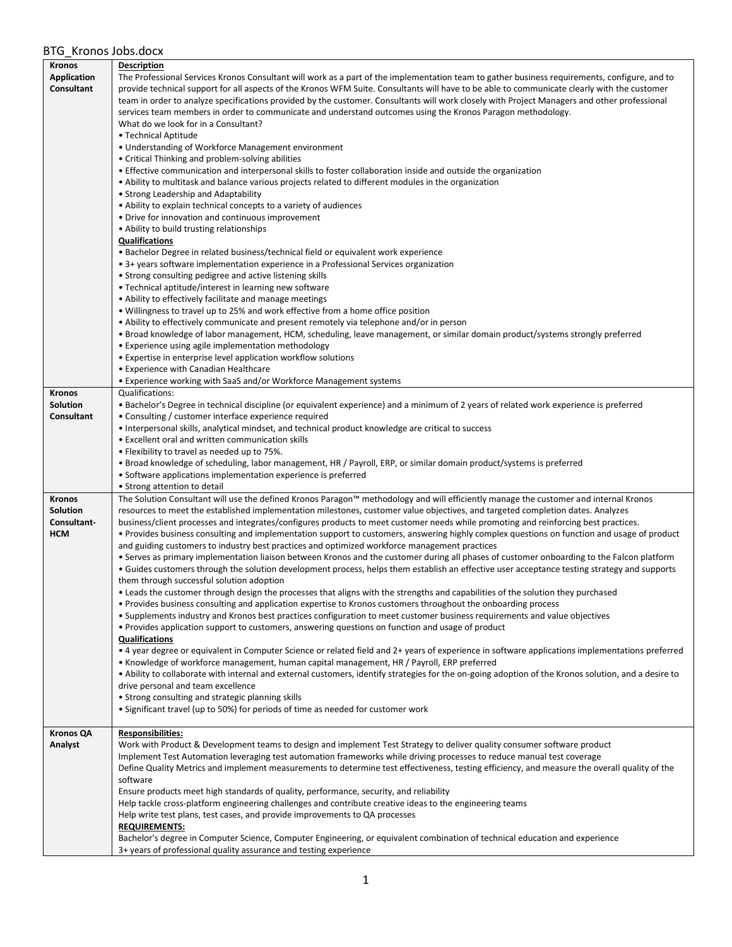| <b>Kronos</b>      | <b>Description</b>                                                                                                                                                                                |
|--------------------|---------------------------------------------------------------------------------------------------------------------------------------------------------------------------------------------------|
| <b>Application</b> | The Professional Services Kronos Consultant will work as a part of the implementation team to gather business requirements, configure, and to                                                     |
| Consultant         | provide technical support for all aspects of the Kronos WFM Suite. Consultants will have to be able to communicate clearly with the customer                                                      |
|                    | team in order to analyze specifications provided by the customer. Consultants will work closely with Project Managers and other professional                                                      |
|                    | services team members in order to communicate and understand outcomes using the Kronos Paragon methodology.                                                                                       |
|                    | What do we look for in a Consultant?                                                                                                                                                              |
|                    | • Technical Aptitude                                                                                                                                                                              |
|                    | • Understanding of Workforce Management environment                                                                                                                                               |
|                    | • Critical Thinking and problem-solving abilities                                                                                                                                                 |
|                    | • Effective communication and interpersonal skills to foster collaboration inside and outside the organization                                                                                    |
|                    | . Ability to multitask and balance various projects related to different modules in the organization                                                                                              |
|                    | • Strong Leadership and Adaptability                                                                                                                                                              |
|                    | • Ability to explain technical concepts to a variety of audiences                                                                                                                                 |
|                    | • Drive for innovation and continuous improvement                                                                                                                                                 |
|                    | • Ability to build trusting relationships                                                                                                                                                         |
|                    | <b>Qualifications</b>                                                                                                                                                                             |
|                    | • Bachelor Degree in related business/technical field or equivalent work experience<br>• 3+ years software implementation experience in a Professional Services organization                      |
|                    | • Strong consulting pedigree and active listening skills                                                                                                                                          |
|                    | • Technical aptitude/interest in learning new software                                                                                                                                            |
|                    | • Ability to effectively facilitate and manage meetings                                                                                                                                           |
|                    | • Willingness to travel up to 25% and work effective from a home office position                                                                                                                  |
|                    | . Ability to effectively communicate and present remotely via telephone and/or in person                                                                                                          |
|                    | · Broad knowledge of labor management, HCM, scheduling, leave management, or similar domain product/systems strongly preferred                                                                    |
|                    | • Experience using agile implementation methodology                                                                                                                                               |
|                    | • Expertise in enterprise level application workflow solutions                                                                                                                                    |
|                    | • Experience with Canadian Healthcare                                                                                                                                                             |
|                    | • Experience working with SaaS and/or Workforce Management systems                                                                                                                                |
| <b>Kronos</b>      | <b>Qualifications:</b>                                                                                                                                                                            |
| Solution           | • Bachelor's Degree in technical discipline (or equivalent experience) and a minimum of 2 years of related work experience is preferred                                                           |
| Consultant         | • Consulting / customer interface experience required                                                                                                                                             |
|                    | • Interpersonal skills, analytical mindset, and technical product knowledge are critical to success                                                                                               |
|                    | • Excellent oral and written communication skills                                                                                                                                                 |
|                    | . Flexibility to travel as needed up to 75%.                                                                                                                                                      |
|                    | • Broad knowledge of scheduling, labor management, HR / Payroll, ERP, or similar domain product/systems is preferred                                                                              |
|                    | • Software applications implementation experience is preferred                                                                                                                                    |
|                    | • Strong attention to detail                                                                                                                                                                      |
| <b>Kronos</b>      | The Solution Consultant will use the defined Kronos Paragon™ methodology and will efficiently manage the customer and internal Kronos                                                             |
| Solution           | resources to meet the established implementation milestones, customer value objectives, and targeted completion dates. Analyzes                                                                   |
| Consultant-        | business/client processes and integrates/configures products to meet customer needs while promoting and reinforcing best practices.                                                               |
| <b>HCM</b>         | • Provides business consulting and implementation support to customers, answering highly complex questions on function and usage of product                                                       |
|                    | and guiding customers to industry best practices and optimized workforce management practices                                                                                                     |
|                    | . Serves as primary implementation liaison between Kronos and the customer during all phases of customer onboarding to the Falcon platform                                                        |
|                    | . Guides customers through the solution development process, helps them establish an effective user acceptance testing strategy and supports                                                      |
|                    | them through successful solution adoption                                                                                                                                                         |
|                    | • Leads the customer through design the processes that aligns with the strengths and capabilities of the solution they purchased                                                                  |
|                    | • Provides business consulting and application expertise to Kronos customers throughout the onboarding process                                                                                    |
|                    | . Supplements industry and Kronos best practices configuration to meet customer business requirements and value objectives                                                                        |
|                    | • Provides application support to customers, answering questions on function and usage of product<br><b>Qualifications</b>                                                                        |
|                    | • 4 year degree or equivalent in Computer Science or related field and 2+ years of experience in software applications implementations preferred                                                  |
|                    | • Knowledge of workforce management, human capital management, HR / Payroll, ERP preferred                                                                                                        |
|                    | . Ability to collaborate with internal and external customers, identify strategies for the on-going adoption of the Kronos solution, and a desire to                                              |
|                    | drive personal and team excellence                                                                                                                                                                |
|                    | • Strong consulting and strategic planning skills                                                                                                                                                 |
|                    | • Significant travel (up to 50%) for periods of time as needed for customer work                                                                                                                  |
|                    |                                                                                                                                                                                                   |
| <b>Kronos QA</b>   |                                                                                                                                                                                                   |
|                    |                                                                                                                                                                                                   |
| Analyst            | <b>Responsibilities:</b><br>Work with Product & Development teams to design and implement Test Strategy to deliver quality consumer software product                                              |
|                    | Implement Test Automation leveraging test automation frameworks while driving processes to reduce manual test coverage                                                                            |
|                    | Define Quality Metrics and implement measurements to determine test effectiveness, testing efficiency, and measure the overall quality of the                                                     |
|                    | software                                                                                                                                                                                          |
|                    | Ensure products meet high standards of quality, performance, security, and reliability                                                                                                            |
|                    | Help tackle cross-platform engineering challenges and contribute creative ideas to the engineering teams                                                                                          |
|                    | Help write test plans, test cases, and provide improvements to QA processes                                                                                                                       |
|                    | <b>REQUIREMENTS:</b>                                                                                                                                                                              |
|                    | Bachelor's degree in Computer Science, Computer Engineering, or equivalent combination of technical education and experience<br>3+ years of professional quality assurance and testing experience |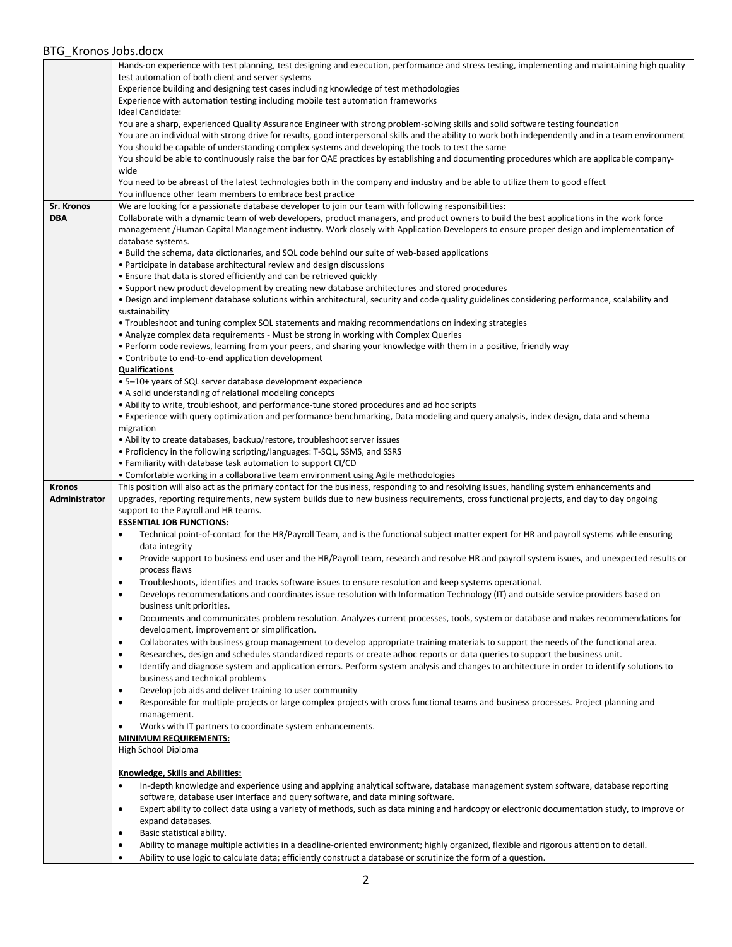|                   | Hands-on experience with test planning, test designing and execution, performance and stress testing, implementing and maintaining high quality                                                                                                  |
|-------------------|--------------------------------------------------------------------------------------------------------------------------------------------------------------------------------------------------------------------------------------------------|
|                   | test automation of both client and server systems                                                                                                                                                                                                |
|                   | Experience building and designing test cases including knowledge of test methodologies<br>Experience with automation testing including mobile test automation frameworks                                                                         |
|                   | Ideal Candidate:                                                                                                                                                                                                                                 |
|                   | You are a sharp, experienced Quality Assurance Engineer with strong problem-solving skills and solid software testing foundation                                                                                                                 |
|                   | You are an individual with strong drive for results, good interpersonal skills and the ability to work both independently and in a team environment                                                                                              |
|                   | You should be capable of understanding complex systems and developing the tools to test the same                                                                                                                                                 |
|                   | You should be able to continuously raise the bar for QAE practices by establishing and documenting procedures which are applicable company-                                                                                                      |
|                   | wide                                                                                                                                                                                                                                             |
|                   | You need to be abreast of the latest technologies both in the company and industry and be able to utilize them to good effect                                                                                                                    |
| <b>Sr. Kronos</b> | You influence other team members to embrace best practice                                                                                                                                                                                        |
| <b>DBA</b>        | We are looking for a passionate database developer to join our team with following responsibilities:<br>Collaborate with a dynamic team of web developers, product managers, and product owners to build the best applications in the work force |
|                   | management /Human Capital Management industry. Work closely with Application Developers to ensure proper design and implementation of                                                                                                            |
|                   | database systems.                                                                                                                                                                                                                                |
|                   | • Build the schema, data dictionaries, and SQL code behind our suite of web-based applications                                                                                                                                                   |
|                   | • Participate in database architectural review and design discussions                                                                                                                                                                            |
|                   | • Ensure that data is stored efficiently and can be retrieved quickly                                                                                                                                                                            |
|                   | . Support new product development by creating new database architectures and stored procedures                                                                                                                                                   |
|                   | . Design and implement database solutions within architectural, security and code quality guidelines considering performance, scalability and                                                                                                    |
|                   | sustainability                                                                                                                                                                                                                                   |
|                   | • Troubleshoot and tuning complex SQL statements and making recommendations on indexing strategies<br>• Analyze complex data requirements - Must be strong in working with Complex Queries                                                       |
|                   | . Perform code reviews, learning from your peers, and sharing your knowledge with them in a positive, friendly way                                                                                                                               |
|                   | • Contribute to end-to-end application development                                                                                                                                                                                               |
|                   | <b>Qualifications</b>                                                                                                                                                                                                                            |
|                   | • 5–10+ years of SQL server database development experience                                                                                                                                                                                      |
|                   | • A solid understanding of relational modeling concepts                                                                                                                                                                                          |
|                   | . Ability to write, troubleshoot, and performance-tune stored procedures and ad hoc scripts                                                                                                                                                      |
|                   | • Experience with query optimization and performance benchmarking, Data modeling and query analysis, index design, data and schema<br>migration                                                                                                  |
|                   | • Ability to create databases, backup/restore, troubleshoot server issues                                                                                                                                                                        |
|                   | • Proficiency in the following scripting/languages: T-SQL, SSMS, and SSRS                                                                                                                                                                        |
|                   | • Familiarity with database task automation to support CI/CD                                                                                                                                                                                     |
|                   | • Comfortable working in a collaborative team environment using Agile methodologies                                                                                                                                                              |
| <b>Kronos</b>     | This position will also act as the primary contact for the business, responding to and resolving issues, handling system enhancements and                                                                                                        |
| Administrator     | upgrades, reporting requirements, new system builds due to new business requirements, cross functional projects, and day to day ongoing                                                                                                          |
|                   | support to the Payroll and HR teams.<br><b>ESSENTIAL JOB FUNCTIONS:</b>                                                                                                                                                                          |
|                   | Technical point-of-contact for the HR/Payroll Team, and is the functional subject matter expert for HR and payroll systems while ensuring<br>٠                                                                                                   |
|                   | data integrity                                                                                                                                                                                                                                   |
|                   | Provide support to business end user and the HR/Payroll team, research and resolve HR and payroll system issues, and unexpected results or<br>٠                                                                                                  |
|                   | process flaws                                                                                                                                                                                                                                    |
|                   | Troubleshoots, identifies and tracks software issues to ensure resolution and keep systems operational.<br>٠                                                                                                                                     |
|                   | Develops recommendations and coordinates issue resolution with Information Technology (IT) and outside service providers based on                                                                                                                |
|                   | business unit priorities.                                                                                                                                                                                                                        |
|                   | Documents and communicates problem resolution. Analyzes current processes, tools, system or database and makes recommendations for<br>$\bullet$<br>development, improvement or simplification.                                                   |
|                   | Collaborates with business group management to develop appropriate training materials to support the needs of the functional area.<br>٠                                                                                                          |
|                   | Researches, design and schedules standardized reports or create adhoc reports or data queries to support the business unit.<br>٠                                                                                                                 |
|                   | Identify and diagnose system and application errors. Perform system analysis and changes to architecture in order to identify solutions to<br>٠                                                                                                  |
|                   | business and technical problems                                                                                                                                                                                                                  |
|                   | Develop job aids and deliver training to user community<br>٠                                                                                                                                                                                     |
|                   | Responsible for multiple projects or large complex projects with cross functional teams and business processes. Project planning and<br>٠                                                                                                        |
|                   | management.                                                                                                                                                                                                                                      |
|                   | Works with IT partners to coordinate system enhancements.<br>٠                                                                                                                                                                                   |
|                   | <b>MINIMUM REQUIREMENTS:</b><br>High School Diploma                                                                                                                                                                                              |
|                   |                                                                                                                                                                                                                                                  |
|                   | <b>Knowledge, Skills and Abilities:</b>                                                                                                                                                                                                          |
|                   | In-depth knowledge and experience using and applying analytical software, database management system software, database reporting<br>٠                                                                                                           |
|                   | software, database user interface and query software, and data mining software.                                                                                                                                                                  |
|                   | Expert ability to collect data using a variety of methods, such as data mining and hardcopy or electronic documentation study, to improve or<br>٠                                                                                                |
|                   | expand databases.                                                                                                                                                                                                                                |
|                   | Basic statistical ability.<br>٠                                                                                                                                                                                                                  |
|                   | Ability to manage multiple activities in a deadline-oriented environment; highly organized, flexible and rigorous attention to detail.<br>$\bullet$                                                                                              |
|                   | Ability to use logic to calculate data; efficiently construct a database or scrutinize the form of a question.<br>٠                                                                                                                              |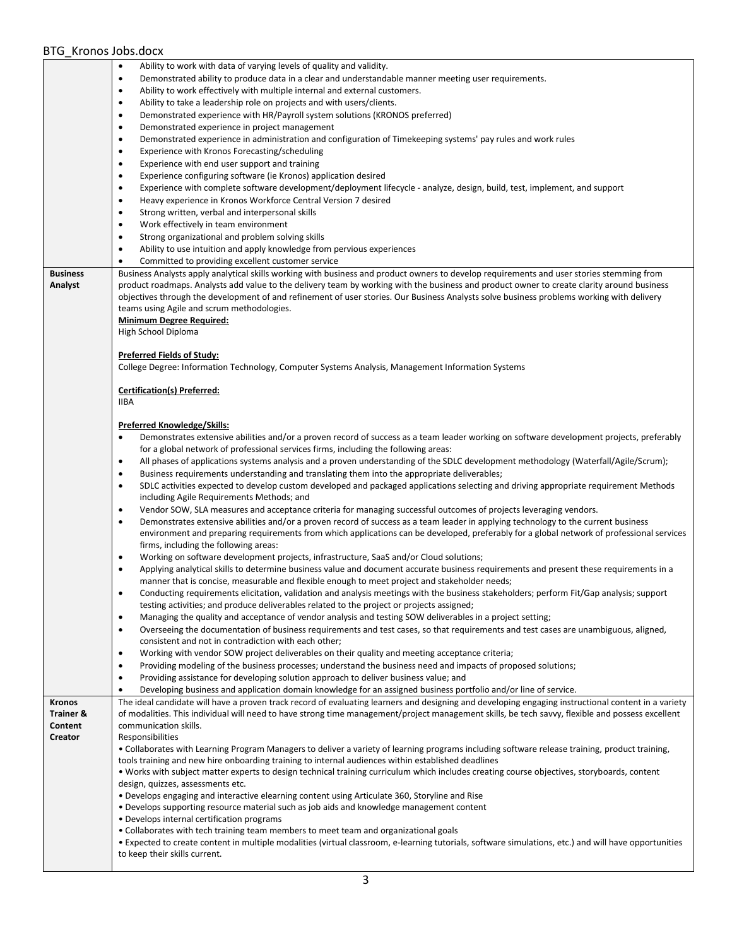|                      | Ability to work with data of varying levels of quality and validity.<br>$\bullet$                                                                     |
|----------------------|-------------------------------------------------------------------------------------------------------------------------------------------------------|
|                      | Demonstrated ability to produce data in a clear and understandable manner meeting user requirements.<br>$\bullet$                                     |
|                      | Ability to work effectively with multiple internal and external customers.<br>٠                                                                       |
|                      | Ability to take a leadership role on projects and with users/clients.<br>$\bullet$                                                                    |
|                      | Demonstrated experience with HR/Payroll system solutions (KRONOS preferred)<br>$\bullet$                                                              |
|                      |                                                                                                                                                       |
|                      | Demonstrated experience in project management<br>٠                                                                                                    |
|                      | Demonstrated experience in administration and configuration of Timekeeping systems' pay rules and work rules<br>$\bullet$                             |
|                      | Experience with Kronos Forecasting/scheduling<br>$\bullet$                                                                                            |
|                      | Experience with end user support and training<br>$\bullet$                                                                                            |
|                      | Experience configuring software (ie Kronos) application desired<br>$\bullet$                                                                          |
|                      | Experience with complete software development/deployment lifecycle - analyze, design, build, test, implement, and support<br>$\bullet$                |
|                      | Heavy experience in Kronos Workforce Central Version 7 desired<br>$\bullet$                                                                           |
|                      |                                                                                                                                                       |
|                      | Strong written, verbal and interpersonal skills<br>٠                                                                                                  |
|                      | Work effectively in team environment<br>$\bullet$                                                                                                     |
|                      | Strong organizational and problem solving skills<br>٠                                                                                                 |
|                      | Ability to use intuition and apply knowledge from pervious experiences<br>$\bullet$                                                                   |
|                      | Committed to providing excellent customer service<br>$\bullet$                                                                                        |
| <b>Business</b>      | Business Analysts apply analytical skills working with business and product owners to develop requirements and user stories stemming from             |
| Analyst              | product roadmaps. Analysts add value to the delivery team by working with the business and product owner to create clarity around business            |
|                      | objectives through the development of and refinement of user stories. Our Business Analysts solve business problems working with delivery             |
|                      |                                                                                                                                                       |
|                      | teams using Agile and scrum methodologies.                                                                                                            |
|                      | <b>Minimum Degree Required:</b>                                                                                                                       |
|                      | High School Diploma                                                                                                                                   |
|                      |                                                                                                                                                       |
|                      | <b>Preferred Fields of Study:</b>                                                                                                                     |
|                      | College Degree: Information Technology, Computer Systems Analysis, Management Information Systems                                                     |
|                      |                                                                                                                                                       |
|                      | Certification(s) Preferred:                                                                                                                           |
|                      | <b>IIBA</b>                                                                                                                                           |
|                      |                                                                                                                                                       |
|                      | <b>Preferred Knowledge/Skills:</b>                                                                                                                    |
|                      |                                                                                                                                                       |
|                      | Demonstrates extensive abilities and/or a proven record of success as a team leader working on software development projects, preferably              |
|                      | for a global network of professional services firms, including the following areas:                                                                   |
|                      | All phases of applications systems analysis and a proven understanding of the SDLC development methodology (Waterfall/Agile/Scrum);<br>$\bullet$      |
|                      | Business requirements understanding and translating them into the appropriate deliverables;<br>$\bullet$                                              |
|                      | SDLC activities expected to develop custom developed and packaged applications selecting and driving appropriate requirement Methods<br>$\bullet$     |
|                      | including Agile Requirements Methods; and                                                                                                             |
|                      | Vendor SOW, SLA measures and acceptance criteria for managing successful outcomes of projects leveraging vendors.<br>$\bullet$                        |
|                      | Demonstrates extensive abilities and/or a proven record of success as a team leader in applying technology to the current business<br>$\bullet$       |
|                      |                                                                                                                                                       |
|                      | environment and preparing requirements from which applications can be developed, preferably for a global network of professional services             |
|                      | firms, including the following areas:                                                                                                                 |
|                      | Working on software development projects, infrastructure, SaaS and/or Cloud solutions;<br>$\bullet$                                                   |
|                      | Applying analytical skills to determine business value and document accurate business requirements and present these requirements in a<br>$\bullet$   |
|                      | manner that is concise, measurable and flexible enough to meet project and stakeholder needs;                                                         |
|                      | Conducting requirements elicitation, validation and analysis meetings with the business stakeholders; perform Fit/Gap analysis; support               |
|                      | testing activities; and produce deliverables related to the project or projects assigned;                                                             |
|                      |                                                                                                                                                       |
|                      | Managing the quality and acceptance of vendor analysis and testing SOW deliverables in a project setting;<br>$\bullet$                                |
|                      | Overseeing the documentation of business requirements and test cases, so that requirements and test cases are unambiguous, aligned,<br>٠              |
|                      | consistent and not in contradiction with each other;                                                                                                  |
|                      | Working with vendor SOW project deliverables on their quality and meeting acceptance criteria;<br>$\bullet$                                           |
|                      | Providing modeling of the business processes; understand the business need and impacts of proposed solutions;<br>$\bullet$                            |
|                      | Providing assistance for developing solution approach to deliver business value; and<br>$\bullet$                                                     |
|                      | Developing business and application domain knowledge for an assigned business portfolio and/or line of service.<br>$\bullet$                          |
| Kronos               | The ideal candidate will have a proven track record of evaluating learners and designing and developing engaging instructional content in a variety   |
| <b>Trainer &amp;</b> | of modalities. This individual will need to have strong time management/project management skills, be tech savvy, flexible and possess excellent      |
| Content              | communication skills.                                                                                                                                 |
| Creator              | Responsibilities                                                                                                                                      |
|                      |                                                                                                                                                       |
|                      | . Collaborates with Learning Program Managers to deliver a variety of learning programs including software release training, product training,        |
|                      | tools training and new hire onboarding training to internal audiences within established deadlines                                                    |
|                      | · Works with subject matter experts to design technical training curriculum which includes creating course objectives, storyboards, content           |
|                      | design, quizzes, assessments etc.                                                                                                                     |
|                      | • Develops engaging and interactive elearning content using Articulate 360, Storyline and Rise                                                        |
|                      | . Develops supporting resource material such as job aids and knowledge management content                                                             |
|                      | • Develops internal certification programs                                                                                                            |
|                      | . Collaborates with tech training team members to meet team and organizational goals                                                                  |
|                      | · Expected to create content in multiple modalities (virtual classroom, e-learning tutorials, software simulations, etc.) and will have opportunities |
|                      | to keep their skills current.                                                                                                                         |
|                      |                                                                                                                                                       |
|                      |                                                                                                                                                       |